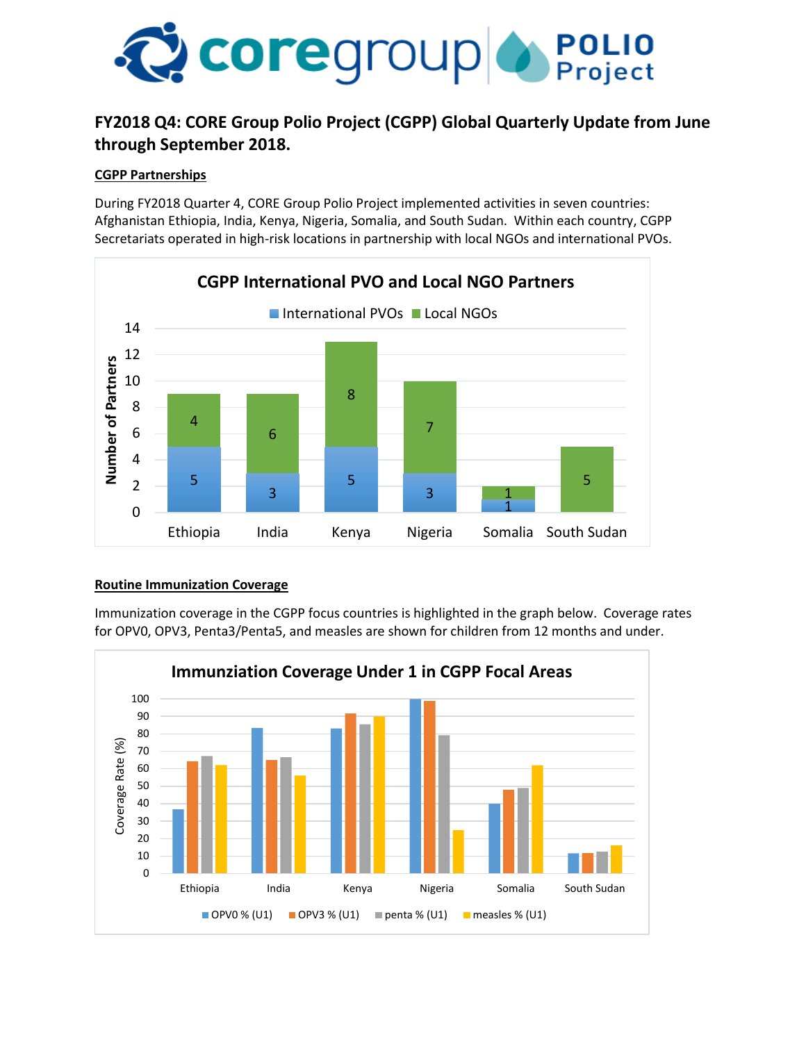

# **FY2018 Q4: CORE Group Polio Project (CGPP) Global Quarterly Update from June through September 2018.**

### **CGPP Partnerships**

During FY2018 Quarter 4, CORE Group Polio Project implemented activities in seven countries: Afghanistan Ethiopia, India, Kenya, Nigeria, Somalia, and South Sudan. Within each country, CGPP Secretariats operated in high-risk locations in partnership with local NGOs and international PVOs.



#### **Routine Immunization Coverage**

Immunization coverage in the CGPP focus countries is highlighted in the graph below. Coverage rates for OPV0, OPV3, Penta3/Penta5, and measles are shown for children from 12 months and under.

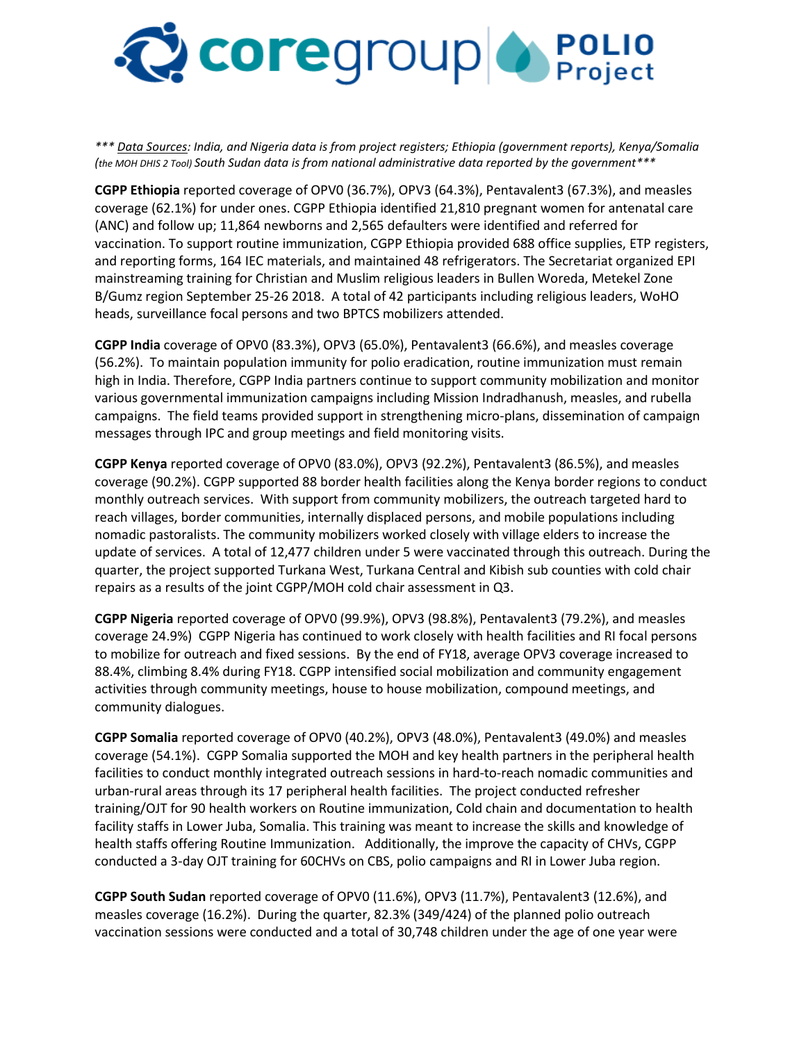

*\*\*\* Data Sources: India, and Nigeria data is from project registers; Ethiopia (government reports), Kenya/Somalia (the MOH DHIS 2 Tool) South Sudan data is from national administrative data reported by the government\*\*\** 

**CGPP Ethiopia** reported coverage of OPV0 (36.7%), OPV3 (64.3%), Pentavalent3 (67.3%), and measles coverage (62.1%) for under ones. CGPP Ethiopia identified 21,810 pregnant women for antenatal care (ANC) and follow up; 11,864 newborns and 2,565 defaulters were identified and referred for vaccination. To support routine immunization, CGPP Ethiopia provided 688 office supplies, ETP registers, and reporting forms, 164 IEC materials, and maintained 48 refrigerators. The Secretariat organized EPI mainstreaming training for Christian and Muslim religious leaders in Bullen Woreda, Metekel Zone B/Gumz region September 25-26 2018. A total of 42 participants including religious leaders, WoHO heads, surveillance focal persons and two BPTCS mobilizers attended.

**CGPP India** coverage of OPV0 (83.3%), OPV3 (65.0%), Pentavalent3 (66.6%), and measles coverage (56.2%). To maintain population immunity for polio eradication, routine immunization must remain high in India. Therefore, CGPP India partners continue to support community mobilization and monitor various governmental immunization campaigns including Mission Indradhanush, measles, and rubella campaigns. The field teams provided support in strengthening micro-plans, dissemination of campaign messages through IPC and group meetings and field monitoring visits.

**CGPP Kenya** reported coverage of OPV0 (83.0%), OPV3 (92.2%), Pentavalent3 (86.5%), and measles coverage (90.2%). CGPP supported 88 border health facilities along the Kenya border regions to conduct monthly outreach services. With support from community mobilizers, the outreach targeted hard to reach villages, border communities, internally displaced persons, and mobile populations including nomadic pastoralists. The community mobilizers worked closely with village elders to increase the update of services. A total of 12,477 children under 5 were vaccinated through this outreach. During the quarter, the project supported Turkana West, Turkana Central and Kibish sub counties with cold chair repairs as a results of the joint CGPP/MOH cold chair assessment in Q3.

**CGPP Nigeria** reported coverage of OPV0 (99.9%), OPV3 (98.8%), Pentavalent3 (79.2%), and measles coverage 24.9%) CGPP Nigeria has continued to work closely with health facilities and RI focal persons to mobilize for outreach and fixed sessions. By the end of FY18, average OPV3 coverage increased to 88.4%, climbing 8.4% during FY18. CGPP intensified social mobilization and community engagement activities through community meetings, house to house mobilization, compound meetings, and community dialogues.

**CGPP Somalia** reported coverage of OPV0 (40.2%), OPV3 (48.0%), Pentavalent3 (49.0%) and measles coverage (54.1%). CGPP Somalia supported the MOH and key health partners in the peripheral health facilities to conduct monthly integrated outreach sessions in hard-to-reach nomadic communities and urban-rural areas through its 17 peripheral health facilities. The project conducted refresher training/OJT for 90 health workers on Routine immunization, Cold chain and documentation to health facility staffs in Lower Juba, Somalia. This training was meant to increase the skills and knowledge of health staffs offering Routine Immunization. Additionally, the improve the capacity of CHVs, CGPP conducted a 3-day OJT training for 60CHVs on CBS, polio campaigns and RI in Lower Juba region.

**CGPP South Sudan** reported coverage of OPV0 (11.6%), OPV3 (11.7%), Pentavalent3 (12.6%), and measles coverage (16.2%). During the quarter, 82.3% (349/424) of the planned polio outreach vaccination sessions were conducted and a total of 30,748 children under the age of one year were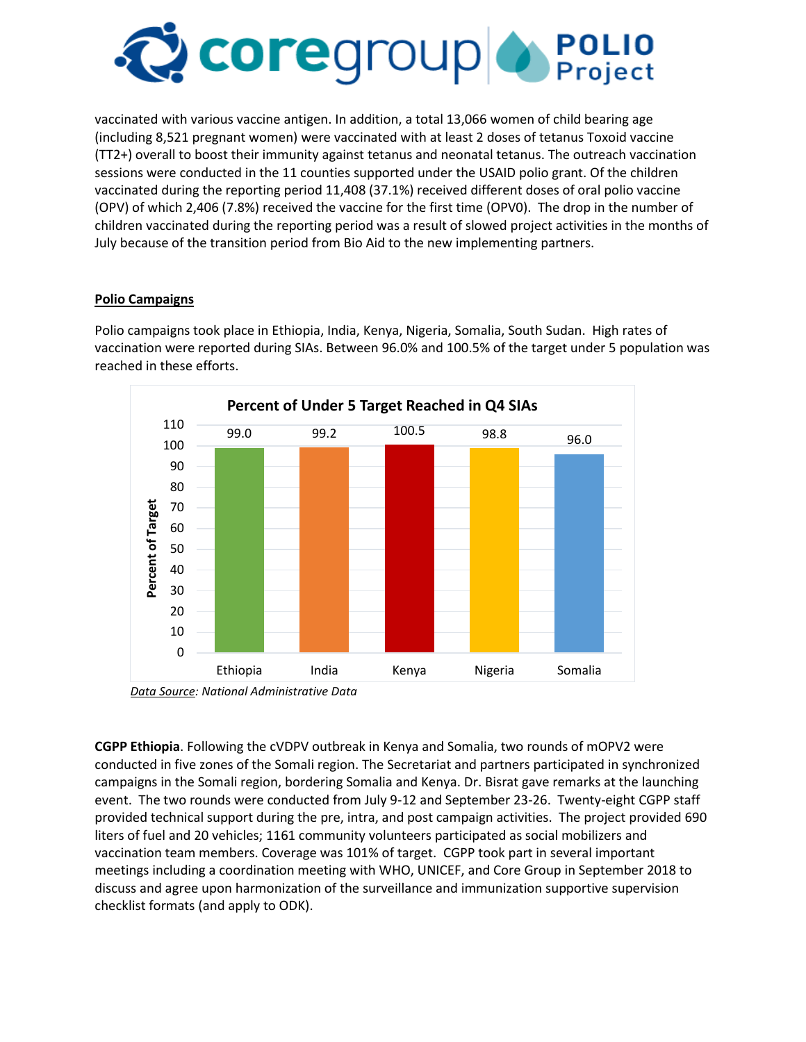

vaccinated with various vaccine antigen. In addition, a total 13,066 women of child bearing age (including 8,521 pregnant women) were vaccinated with at least 2 doses of tetanus Toxoid vaccine (TT2+) overall to boost their immunity against tetanus and neonatal tetanus. The outreach vaccination sessions were conducted in the 11 counties supported under the USAID polio grant. Of the children vaccinated during the reporting period 11,408 (37.1%) received different doses of oral polio vaccine (OPV) of which 2,406 (7.8%) received the vaccine for the first time (OPV0). The drop in the number of children vaccinated during the reporting period was a result of slowed project activities in the months of July because of the transition period from Bio Aid to the new implementing partners.

## **Polio Campaigns**

Polio campaigns took place in Ethiopia, India, Kenya, Nigeria, Somalia, South Sudan. High rates of vaccination were reported during SIAs. Between 96.0% and 100.5% of the target under 5 population was reached in these efforts.



*Data Source: National Administrative Data*

**CGPP Ethiopia**. Following the cVDPV outbreak in Kenya and Somalia, two rounds of mOPV2 were conducted in five zones of the Somali region. The Secretariat and partners participated in synchronized campaigns in the Somali region, bordering Somalia and Kenya. Dr. Bisrat gave remarks at the launching event. The two rounds were conducted from July 9-12 and September 23-26. Twenty-eight CGPP staff provided technical support during the pre, intra, and post campaign activities. The project provided 690 liters of fuel and 20 vehicles; 1161 community volunteers participated as social mobilizers and vaccination team members. Coverage was 101% of target. CGPP took part in several important meetings including a coordination meeting with WHO, UNICEF, and Core Group in September 2018 to discuss and agree upon harmonization of the surveillance and immunization supportive supervision checklist formats (and apply to ODK).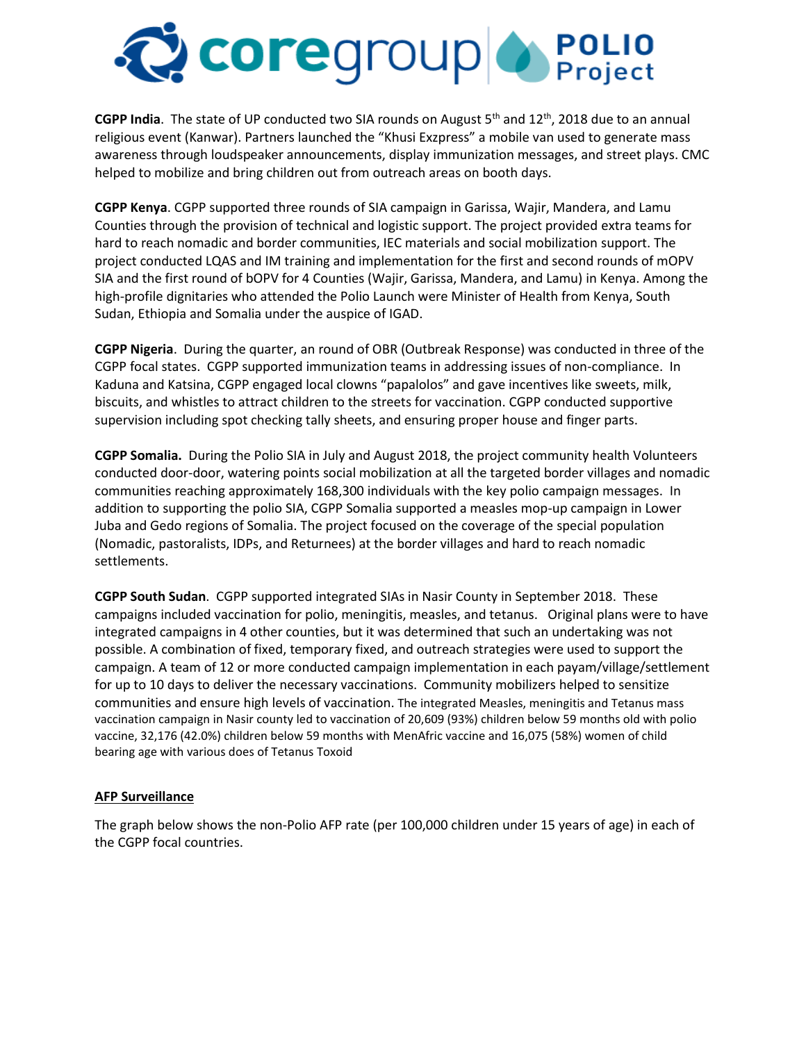

**CGPP India**. The state of UP conducted two SIA rounds on August 5th and 12th, 2018 due to an annual religious event (Kanwar). Partners launched the "Khusi Exzpress" a mobile van used to generate mass awareness through loudspeaker announcements, display immunization messages, and street plays. CMC helped to mobilize and bring children out from outreach areas on booth days.

**CGPP Kenya**. CGPP supported three rounds of SIA campaign in Garissa, Wajir, Mandera, and Lamu Counties through the provision of technical and logistic support. The project provided extra teams for hard to reach nomadic and border communities, IEC materials and social mobilization support. The project conducted LQAS and IM training and implementation for the first and second rounds of mOPV SIA and the first round of bOPV for 4 Counties (Wajir, Garissa, Mandera, and Lamu) in Kenya. Among the high-profile dignitaries who attended the Polio Launch were Minister of Health from Kenya, South Sudan, Ethiopia and Somalia under the auspice of IGAD.

**CGPP Nigeria**. During the quarter, an round of OBR (Outbreak Response) was conducted in three of the CGPP focal states. CGPP supported immunization teams in addressing issues of non-compliance. In Kaduna and Katsina, CGPP engaged local clowns "papalolos" and gave incentives like sweets, milk, biscuits, and whistles to attract children to the streets for vaccination. CGPP conducted supportive supervision including spot checking tally sheets, and ensuring proper house and finger parts.

**CGPP Somalia.** During the Polio SIA in July and August 2018, the project community health Volunteers conducted door-door, watering points social mobilization at all the targeted border villages and nomadic communities reaching approximately 168,300 individuals with the key polio campaign messages. In addition to supporting the polio SIA, CGPP Somalia supported a measles mop-up campaign in Lower Juba and Gedo regions of Somalia. The project focused on the coverage of the special population (Nomadic, pastoralists, IDPs, and Returnees) at the border villages and hard to reach nomadic settlements.

**CGPP South Sudan**. CGPP supported integrated SIAs in Nasir County in September 2018. These campaigns included vaccination for polio, meningitis, measles, and tetanus. Original plans were to have integrated campaigns in 4 other counties, but it was determined that such an undertaking was not possible. A combination of fixed, temporary fixed, and outreach strategies were used to support the campaign. A team of 12 or more conducted campaign implementation in each payam/village/settlement for up to 10 days to deliver the necessary vaccinations. Community mobilizers helped to sensitize communities and ensure high levels of vaccination. The integrated Measles, meningitis and Tetanus mass vaccination campaign in Nasir county led to vaccination of 20,609 (93%) children below 59 months old with polio vaccine, 32,176 (42.0%) children below 59 months with MenAfric vaccine and 16,075 (58%) women of child bearing age with various does of Tetanus Toxoid

### **AFP Surveillance**

The graph below shows the non-Polio AFP rate (per 100,000 children under 15 years of age) in each of the CGPP focal countries.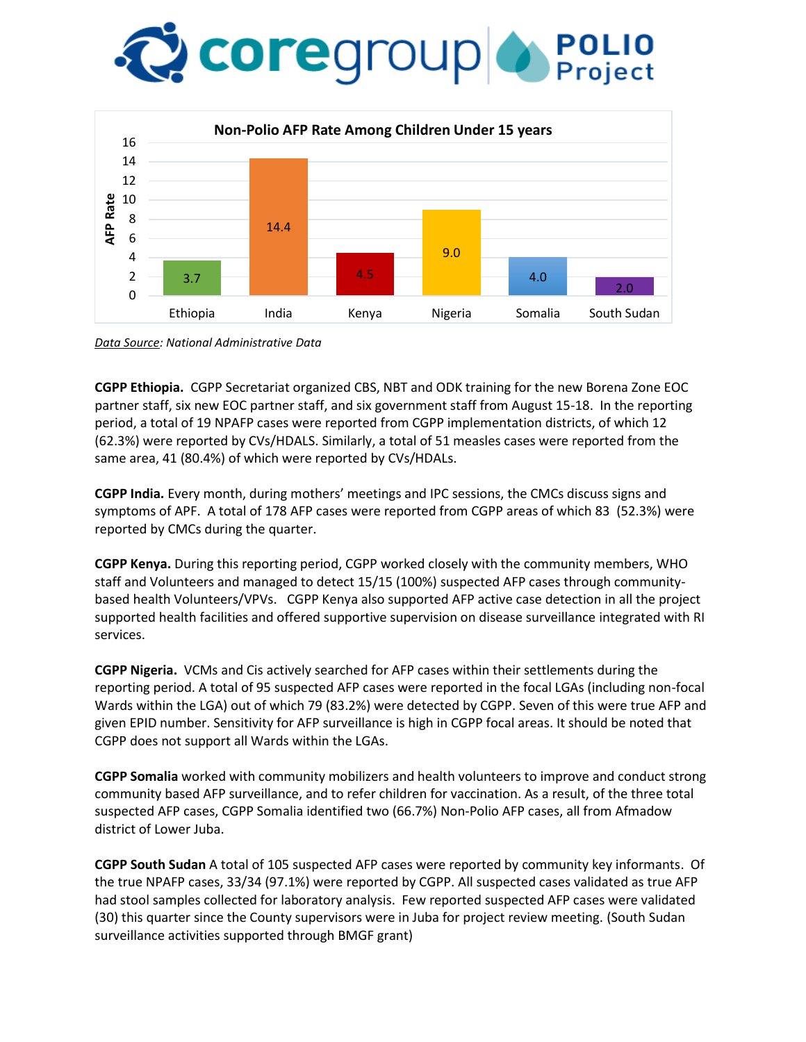# **COLE** COLO COLO



*Data Source: National Administrative Data* 

**CGPP Ethiopia.** CGPP Secretariat organized CBS, NBT and ODK training for the new Borena Zone EOC partner staff, six new EOC partner staff, and six government staff from August 15-18. In the reporting period, a total of 19 NPAFP cases were reported from CGPP implementation districts, of which 12 (62.3%) were reported by CVs/HDALS. Similarly, a total of 51 measles cases were reported from the same area, 41 (80.4%) of which were reported by CVs/HDALs.

**CGPP India.** Every month, during mothers' meetings and IPC sessions, the CMCs discuss signs and symptoms of APF. A total of 178 AFP cases were reported from CGPP areas of which 83 (52.3%) were reported by CMCs during the quarter.

**CGPP Kenya.** During this reporting period, CGPP worked closely with the community members, WHO staff and Volunteers and managed to detect 15/15 (100%) suspected AFP cases through communitybased health Volunteers/VPVs. CGPP Kenya also supported AFP active case detection in all the project supported health facilities and offered supportive supervision on disease surveillance integrated with RI services.

**CGPP Nigeria.** VCMs and Cis actively searched for AFP cases within their settlements during the reporting period. A total of 95 suspected AFP cases were reported in the focal LGAs (including non-focal Wards within the LGA) out of which 79 (83.2%) were detected by CGPP. Seven of this were true AFP and given EPID number. Sensitivity for AFP surveillance is high in CGPP focal areas. It should be noted that CGPP does not support all Wards within the LGAs.

**CGPP Somalia** worked with community mobilizers and health volunteers to improve and conduct strong community based AFP surveillance, and to refer children for vaccination. As a result, of the three total suspected AFP cases, CGPP Somalia identified two (66.7%) Non-Polio AFP cases, all from Afmadow district of Lower Juba.

**CGPP South Sudan** A total of 105 suspected AFP cases were reported by community key informants. Of the true NPAFP cases, 33/34 (97.1%) were reported by CGPP. All suspected cases validated as true AFP had stool samples collected for laboratory analysis. Few reported suspected AFP cases were validated (30) this quarter since the County supervisors were in Juba for project review meeting. (South Sudan surveillance activities supported through BMGF grant)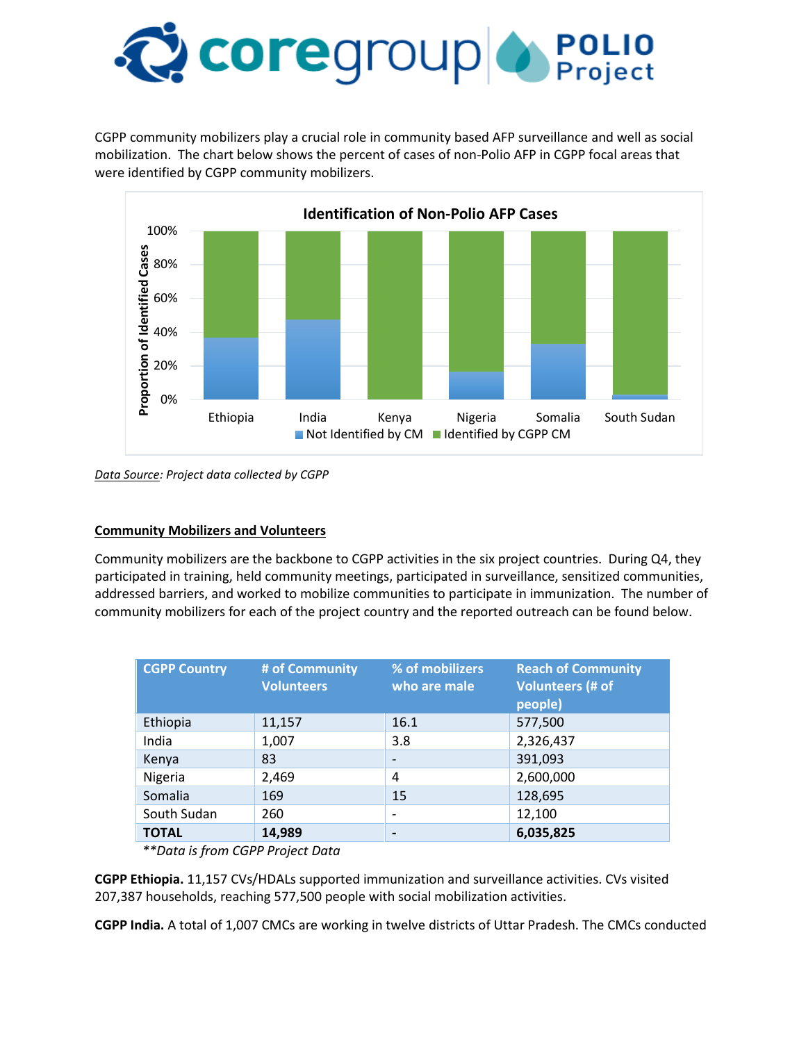

CGPP community mobilizers play a crucial role in community based AFP surveillance and well as social mobilization. The chart below shows the percent of cases of non-Polio AFP in CGPP focal areas that were identified by CGPP community mobilizers.



*Data Source: Project data collected by CGPP* 

### **Community Mobilizers and Volunteers**

Community mobilizers are the backbone to CGPP activities in the six project countries. During Q4, they participated in training, held community meetings, participated in surveillance, sensitized communities, addressed barriers, and worked to mobilize communities to participate in immunization. The number of community mobilizers for each of the project country and the reported outreach can be found below.

| <b>CGPP Country</b> | # of Community<br><b>Volunteers</b> | % of mobilizers<br>who are male | <b>Reach of Community</b><br><b>Volunteers (# of</b><br>people) |
|---------------------|-------------------------------------|---------------------------------|-----------------------------------------------------------------|
| Ethiopia            | 11,157                              | 16.1                            | 577,500                                                         |
| India               | 1,007                               | 3.8                             | 2,326,437                                                       |
| Kenya               | 83                                  | $\overline{\phantom{a}}$        | 391,093                                                         |
| Nigeria             | 2,469                               | 4                               | 2,600,000                                                       |
| Somalia             | 169                                 | 15                              | 128,695                                                         |
| South Sudan         | 260                                 | $\overline{\phantom{a}}$        | 12,100                                                          |
| <b>TOTAL</b>        | 14,989                              | $\blacksquare$                  | 6,035,825                                                       |

*\*\*Data is from CGPP Project Data* 

**CGPP Ethiopia.** 11,157 CVs/HDALs supported immunization and surveillance activities. CVs visited 207,387 households, reaching 577,500 people with social mobilization activities.

**CGPP India.** A total of 1,007 CMCs are working in twelve districts of Uttar Pradesh. The CMCs conducted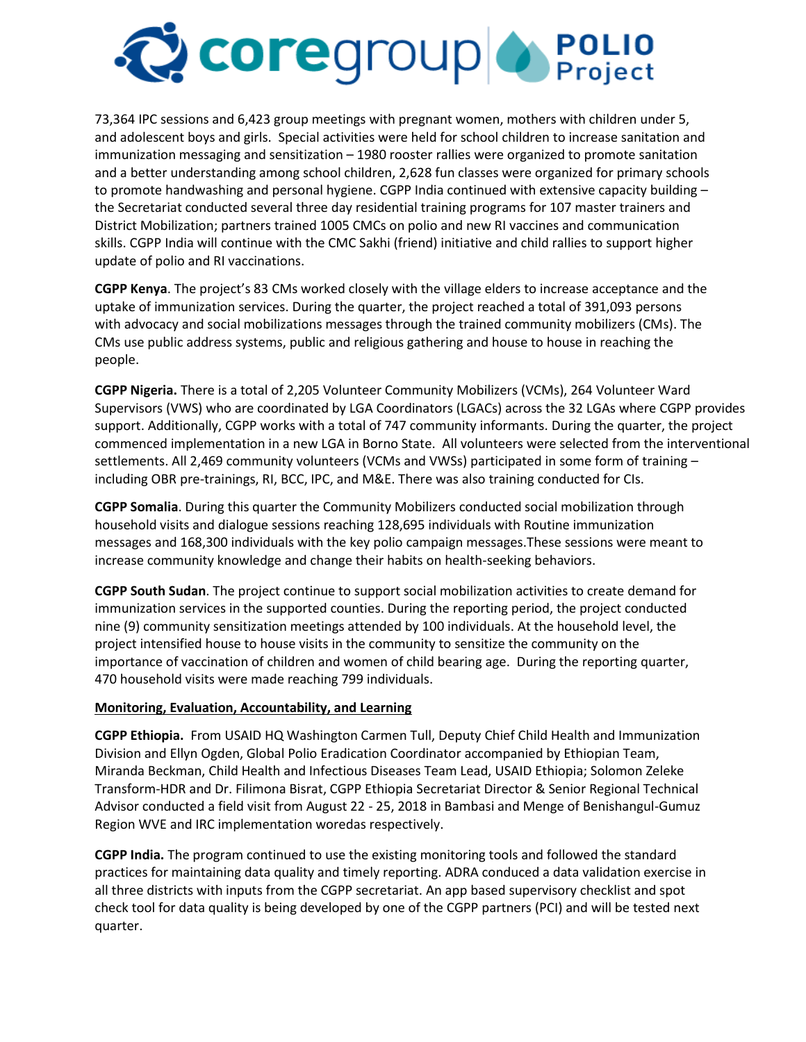

73,364 IPC sessions and 6,423 group meetings with pregnant women, mothers with children under 5, and adolescent boys and girls. Special activities were held for school children to increase sanitation and immunization messaging and sensitization – 1980 rooster rallies were organized to promote sanitation and a better understanding among school children, 2,628 fun classes were organized for primary schools to promote handwashing and personal hygiene. CGPP India continued with extensive capacity building – the Secretariat conducted several three day residential training programs for 107 master trainers and District Mobilization; partners trained 1005 CMCs on polio and new RI vaccines and communication skills. CGPP India will continue with the CMC Sakhi (friend) initiative and child rallies to support higher update of polio and RI vaccinations.

**CGPP Kenya**. The project's 83 CMs worked closely with the village elders to increase acceptance and the uptake of immunization services. During the quarter, the project reached a total of 391,093 persons with advocacy and social mobilizations messages through the trained community mobilizers (CMs). The CMs use public address systems, public and religious gathering and house to house in reaching the people.

**CGPP Nigeria.** There is a total of 2,205 Volunteer Community Mobilizers (VCMs), 264 Volunteer Ward Supervisors (VWS) who are coordinated by LGA Coordinators (LGACs) across the 32 LGAs where CGPP provides support. Additionally, CGPP works with a total of 747 community informants. During the quarter, the project commenced implementation in a new LGA in Borno State. All volunteers were selected from the interventional settlements. All 2,469 community volunteers (VCMs and VWSs) participated in some form of training – including OBR pre-trainings, RI, BCC, IPC, and M&E. There was also training conducted for CIs.

**CGPP Somalia**. During this quarter the Community Mobilizers conducted social mobilization through household visits and dialogue sessions reaching 128,695 individuals with Routine immunization messages and 168,300 individuals with the key polio campaign messages.These sessions were meant to increase community knowledge and change their habits on health-seeking behaviors.

**CGPP South Sudan**. The project continue to support social mobilization activities to create demand for immunization services in the supported counties. During the reporting period, the project conducted nine (9) community sensitization meetings attended by 100 individuals. At the household level, the project intensified house to house visits in the community to sensitize the community on the importance of vaccination of children and women of child bearing age. During the reporting quarter, 470 household visits were made reaching 799 individuals.

#### **Monitoring, Evaluation, Accountability, and Learning**

**CGPP Ethiopia.** From USAID HQ Washington Carmen Tull, Deputy Chief Child Health and Immunization Division and Ellyn Ogden, Global Polio Eradication Coordinator accompanied by Ethiopian Team, Miranda Beckman, Child Health and Infectious Diseases Team Lead, USAID Ethiopia; Solomon Zeleke Transform-HDR and Dr. Filimona Bisrat, CGPP Ethiopia Secretariat Director & Senior Regional Technical Advisor conducted a field visit from August 22 - 25, 2018 in Bambasi and Menge of Benishangul-Gumuz Region WVE and IRC implementation woredas respectively.

**CGPP India.** The program continued to use the existing monitoring tools and followed the standard practices for maintaining data quality and timely reporting. ADRA conduced a data validation exercise in all three districts with inputs from the CGPP secretariat. An app based supervisory checklist and spot check tool for data quality is being developed by one of the CGPP partners (PCI) and will be tested next quarter.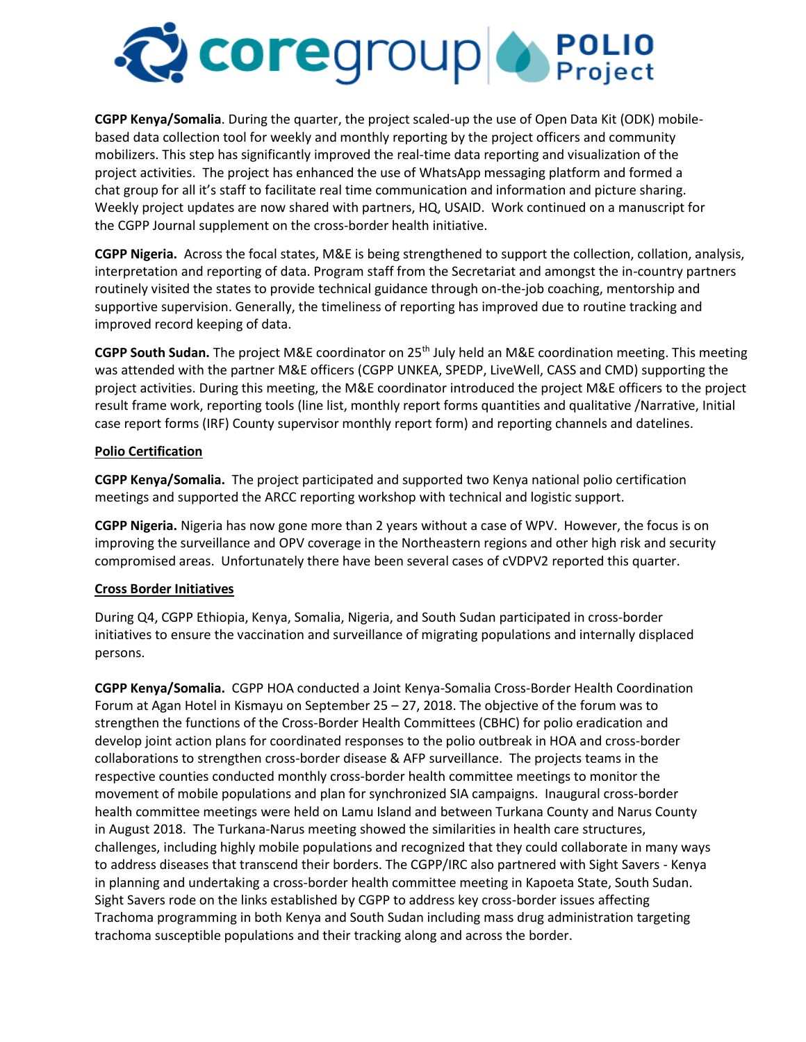

**CGPP Kenya/Somalia**. During the quarter, the project scaled-up the use of Open Data Kit (ODK) mobilebased data collection tool for weekly and monthly reporting by the project officers and community mobilizers. This step has significantly improved the real-time data reporting and visualization of the project activities. The project has enhanced the use of WhatsApp messaging platform and formed a chat group for all it's staff to facilitate real time communication and information and picture sharing. Weekly project updates are now shared with partners, HQ, USAID. Work continued on a manuscript for the CGPP Journal supplement on the cross-border health initiative.

**CGPP Nigeria.** Across the focal states, M&E is being strengthened to support the collection, collation, analysis, interpretation and reporting of data. Program staff from the Secretariat and amongst the in-country partners routinely visited the states to provide technical guidance through on-the-job coaching, mentorship and supportive supervision. Generally, the timeliness of reporting has improved due to routine tracking and improved record keeping of data.

CGPP South Sudan. The project M&E coordinator on 25<sup>th</sup> July held an M&E coordination meeting. This meeting was attended with the partner M&E officers (CGPP UNKEA, SPEDP, LiveWell, CASS and CMD) supporting the project activities. During this meeting, the M&E coordinator introduced the project M&E officers to the project result frame work, reporting tools (line list, monthly report forms quantities and qualitative /Narrative, Initial case report forms (IRF) County supervisor monthly report form) and reporting channels and datelines.

#### **Polio Certification**

**CGPP Kenya/Somalia.** The project participated and supported two Kenya national polio certification meetings and supported the ARCC reporting workshop with technical and logistic support.

**CGPP Nigeria.** Nigeria has now gone more than 2 years without a case of WPV. However, the focus is on improving the surveillance and OPV coverage in the Northeastern regions and other high risk and security compromised areas. Unfortunately there have been several cases of cVDPV2 reported this quarter.

### **Cross Border Initiatives**

During Q4, CGPP Ethiopia, Kenya, Somalia, Nigeria, and South Sudan participated in cross-border initiatives to ensure the vaccination and surveillance of migrating populations and internally displaced persons.

**CGPP Kenya/Somalia.** CGPP HOA conducted a Joint Kenya-Somalia Cross-Border Health Coordination Forum at Agan Hotel in Kismayu on September 25 – 27, 2018. The objective of the forum was to strengthen the functions of the Cross-Border Health Committees (CBHC) for polio eradication and develop joint action plans for coordinated responses to the polio outbreak in HOA and cross-border collaborations to strengthen cross-border disease & AFP surveillance. The projects teams in the respective counties conducted monthly cross-border health committee meetings to monitor the movement of mobile populations and plan for synchronized SIA campaigns. Inaugural cross-border health committee meetings were held on Lamu Island and between Turkana County and Narus County in August 2018. The Turkana-Narus meeting showed the similarities in health care structures, challenges, including highly mobile populations and recognized that they could collaborate in many ways to address diseases that transcend their borders. The CGPP/IRC also partnered with Sight Savers - Kenya in planning and undertaking a cross-border health committee meeting in Kapoeta State, South Sudan. Sight Savers rode on the links established by CGPP to address key cross-border issues affecting Trachoma programming in both Kenya and South Sudan including mass drug administration targeting trachoma susceptible populations and their tracking along and across the border.